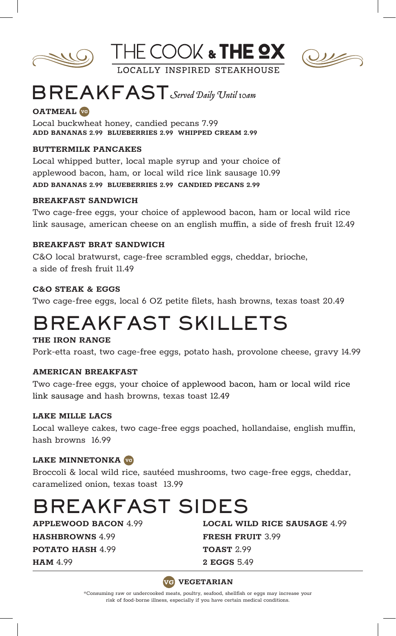





# BREAKFAST *Served Daily Until 10am*

### **OATMEAL**

Local buckwheat honey, candied pecans 7.99 **ADD BANANAS 2.99 BLUEBERRIES 2.99 WHIPPED CREAM 2.99**

#### **BUTTERMILK PANCAKES**

Local whipped butter, local maple syrup and your choice of applewood bacon, ham, or local wild rice link sausage 10.99 **ADD BANANAS 2.99 BLUEBERRIES 2.99 CANDIED PECANS 2.99**

#### **BREAKFAST SANDWICH**

Two cage-free eggs, your choice of applewood bacon, ham or local wild rice link sausage, american cheese on an english muffin, a side of fresh fruit 12.49

#### **BREAKFAST BRAT SANDWICH**

C&O local bratwurst, cage-free scrambled eggs, cheddar, brioche, a side of fresh fruit 11.49

#### **C&O STEAK & EGGS**

Two cage-free eggs, local 6 OZ petite filets, hash browns, texas toast 20.49

### BREAKFAST SKILLETS

#### **THE IRON RANGE**

Pork-etta roast, two cage-free eggs, potato hash, provolone cheese, gravy 14.99

#### **AMERICAN BREAKFAST**

Two cage-free eggs, your choice of applewood bacon, ham or local wild rice link sausage and hash browns, texas toast 12.49

#### **LAKE MILLE LACS**

Local walleye cakes, two cage-free eggs poached, hollandaise, english muffin, hash browns 16.99

#### **LAKE MINNETONKA**

Broccoli & local wild rice, sautéed mushrooms, two cage-free eggs, cheddar, caramelized onion, texas toast 13.99

# BREAKFAST SIDES

**HASHBROWNS** 4.99 **FRESH FRUIT** 3.99

**POTATO HASH 4.99 <b>TOAST** 2.99

**APPLEWOOD BACON** 4.99 **LOCAL WILD RICE SAUSAGE** 4.99 **HAM** 4.99 **2 EGGS** 5.49



\*Consuming raw or undercooked meats, poultry, seafood, shellfish or eggs may increase your risk of food-borne illness, especially if you have certain medical conditions.